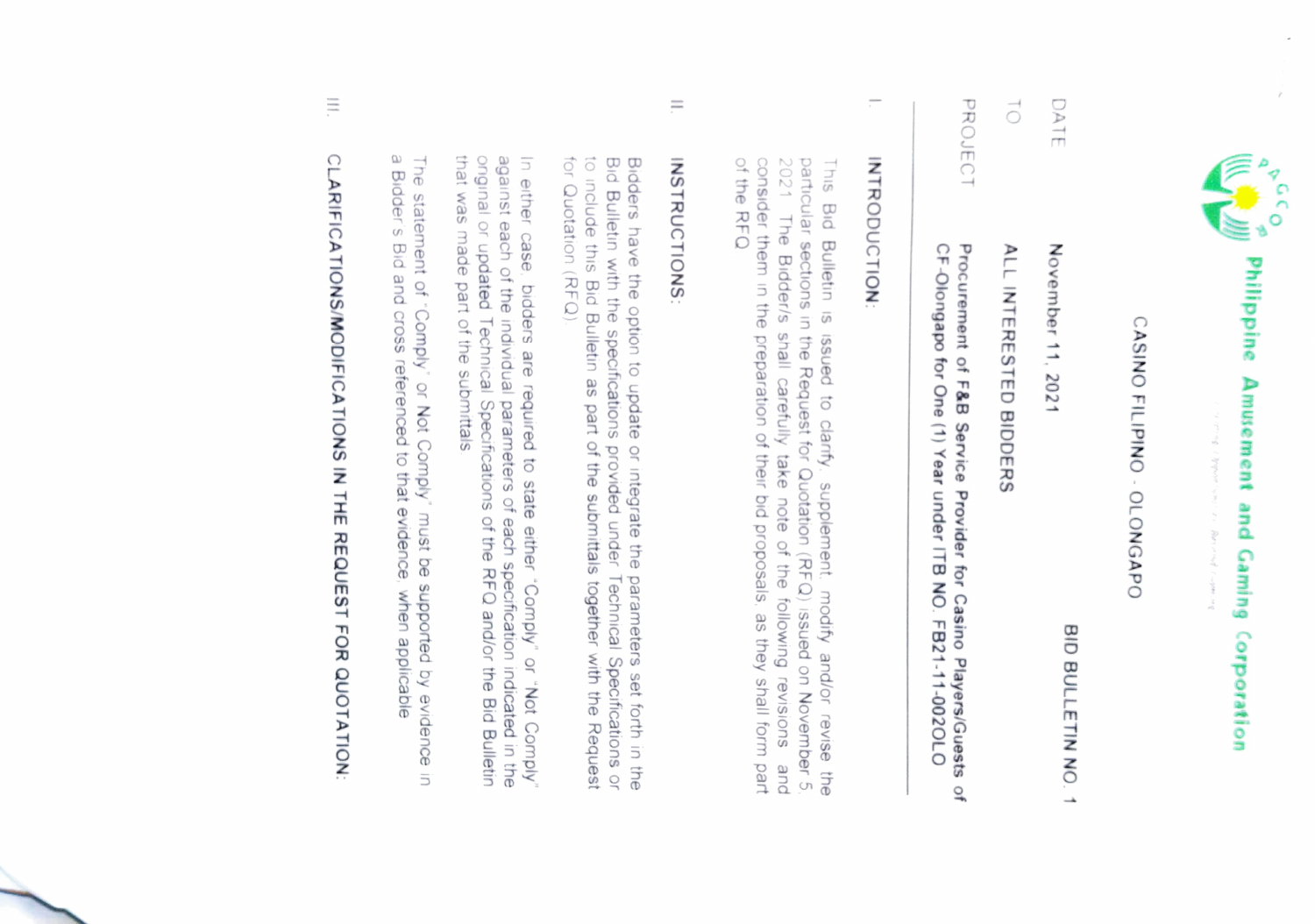

## CASINO FILIPINO - OLONGAPO CASINO FILIPINO OLONGAPO

 $\vec{0}$ DATE TO ALL INTERESTED BIDDERS  $D$ ATE November 11, 2021 November 11, 2021 **ALL INTERESTED BIDDERS** 

BID BULLETIN NO. 1

BID BULLETIN NO. 1

PROJECT PROJECT Procurement of F&B Service Provider for Casino Players/Guests of CF-Olongapo for One (1) Year under ITB NO. FB21-11-002OLO Procurement of F&B Service Provider for Casino Players/Guests of CF-Olongapo for One (1) Year under ITB NO. FB21-11-0020LO

### INTRODUCTION INTRODUCTION

2021 of the RFQ consider them in the preparation of their bid proposals, as they shall form part particular sections in the Request for Quotation (RFQ) issued on November 5 This Bid Bulletin is issued to clarify, supplement, modify and/or revise the of the RFQ consider them in the preparation of their bid proposals, as they shall form part 2021 The Bidder/s shall carefully take note of the following revisions and particular sections in the Request for Quotation (RFQ) issued on November 5 The Bidder/s shall carefully take note of the following revisions Bid Bulletin is issued to clanfy. supplement. modify and/or revise the and

#### E **INSTRUCTIONS INSTRUCTIONS:**

for Quotation (RFQ) to include this Bid Bulletin as part of the submittals together with the Request Bidders have the option to update or integrate the parameters set forth in the Buldders have the option to update or integrate the parameters set forth in the for Quotation (RFQ) to include this Bid Bulletin as part of the submittals together with the Request Bid Bulletin with the specifications provided under Technical Specifications or Bidders have the option to update or integrate the parameters set forth in the

that was made part of the submittals against each of the individual parameters of each specification indicated in the orgainst each of the individual parameters of each separation indicated in the In either case, bidders are required to state either "Comply" or "Not Comply that was made part of the submittals onginal or updated Technical Specifications of the RFQ and/or the Bid Bulletin against each of the individual parameters of each specification In either case bidders are required to state either Comply or "Not Comply" indicated in the

a Bidder's Bid and cross referenced to that evidence, when applicable The statement of "Comply" or Not Comply" must be supported by evidence in a Bidder s Bid and cross referenced to that evidence, when applicable The statement of "Comply or Not Comply must be supported by evidence in

# III. CLARIFICATIONS/MODIFICATIONS IN THE REQUEST FOR QUOTATION CLARIFICA TIONS/MODIFICATIONS IN THE REQUEST FOR QUOTATION: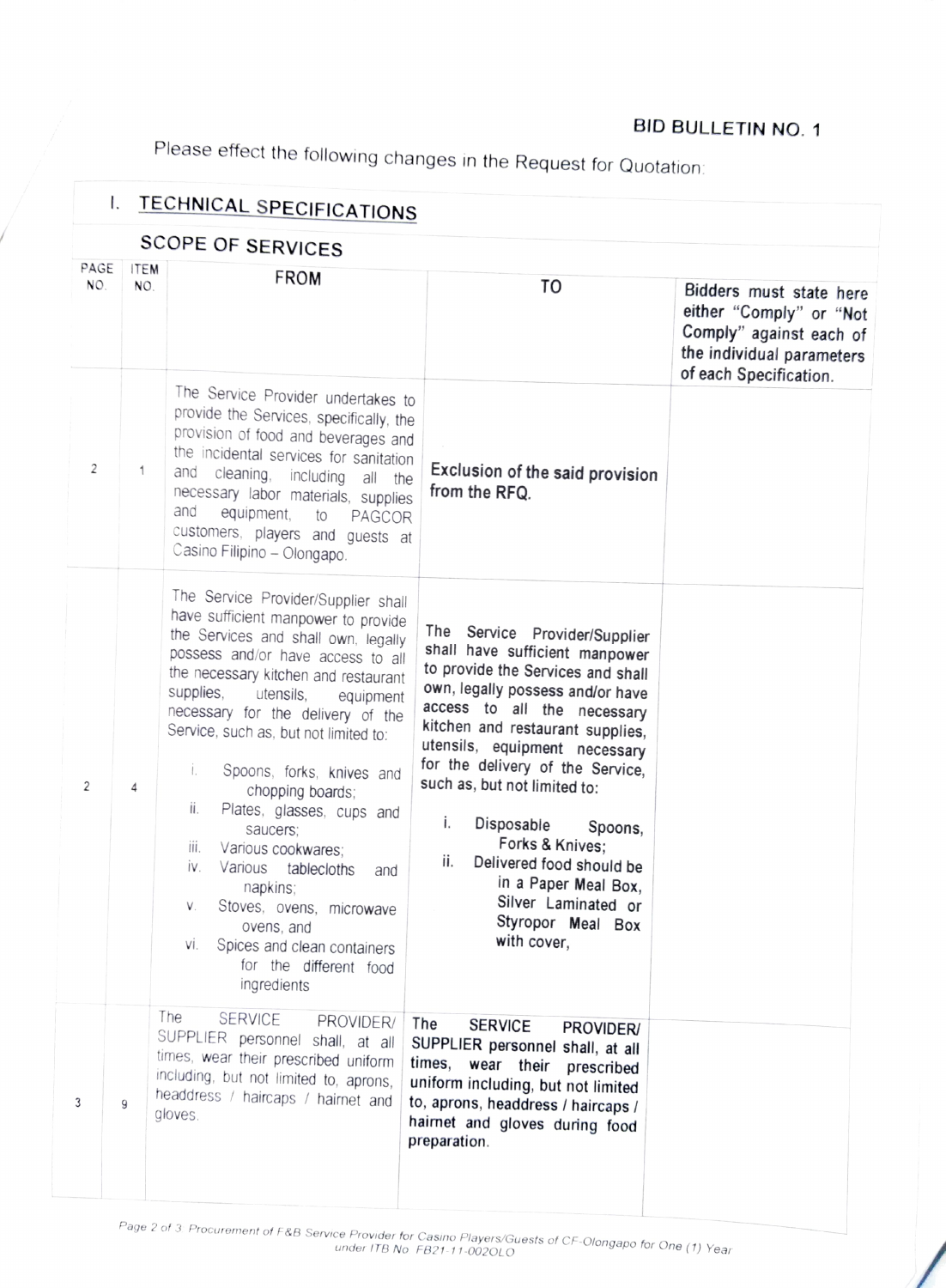#### BID BULLETIN NO. 1

Please effect the following changes in the Request for Quotation:

|             | Ι.                 | <b>TECHNICAL SPECIFICATIONS</b>                                                                                                                                                                                                                                                                                                                                                                                                                                                                                                                                                                                                             |                                                                                                                                                                                                                                                                                                                                                                                                                                                                                          |                                                                                                                                      |
|-------------|--------------------|---------------------------------------------------------------------------------------------------------------------------------------------------------------------------------------------------------------------------------------------------------------------------------------------------------------------------------------------------------------------------------------------------------------------------------------------------------------------------------------------------------------------------------------------------------------------------------------------------------------------------------------------|------------------------------------------------------------------------------------------------------------------------------------------------------------------------------------------------------------------------------------------------------------------------------------------------------------------------------------------------------------------------------------------------------------------------------------------------------------------------------------------|--------------------------------------------------------------------------------------------------------------------------------------|
|             |                    | <b>SCOPE OF SERVICES</b>                                                                                                                                                                                                                                                                                                                                                                                                                                                                                                                                                                                                                    |                                                                                                                                                                                                                                                                                                                                                                                                                                                                                          |                                                                                                                                      |
| PAGE<br>NO. | <b>ITEM</b><br>NO. | <b>FROM</b>                                                                                                                                                                                                                                                                                                                                                                                                                                                                                                                                                                                                                                 | TO                                                                                                                                                                                                                                                                                                                                                                                                                                                                                       | Bidders must state here<br>either "Comply" or "Not<br>Comply" against each of<br>the individual parameters<br>of each Specification. |
| 2           | 1                  | The Service Provider undertakes to<br>provide the Services, specifically, the<br>provision of food and beverages and<br>the incidental services for sanitation<br>and<br>cleaning, including all the<br>necessary labor materials, supplies<br>and<br>equipment,<br>to<br>PAGCOR<br>customers, players and guests at<br>Casino Filipino - Olongapo.                                                                                                                                                                                                                                                                                         | Exclusion of the said provision<br>from the RFQ.                                                                                                                                                                                                                                                                                                                                                                                                                                         |                                                                                                                                      |
| 2           | 4                  | The Service Provider/Supplier shall<br>have sufficient manpower to provide<br>the Services and shall own, legally<br>possess and/or have access to all<br>the necessary kitchen and restaurant<br>supplies,<br>utensils,<br>equipment<br>necessary for the delivery of the<br>Service, such as, but not limited to:<br>i.<br>Spoons, forks, knives and<br>chopping boards;<br>ii.<br>Plates, glasses, cups and<br>saucers:<br>III.<br>Various cookwares;<br>İV.<br>Various<br>tablecloths<br>and<br>napkins;<br>Stoves, ovens, microwave<br>V.<br>ovens, and<br>VI.<br>Spices and clean containers<br>for the different food<br>ingredients | The Service Provider/Supplier<br>shall have sufficient manpower<br>to provide the Services and shall<br>own, legally possess and/or have<br>access to all the necessary<br>kitchen and restaurant supplies,<br>utensils, equipment necessary<br>for the delivery of the Service,<br>such as, but not limited to:<br>i.<br>Disposable<br>Spoons,<br>Forks & Knives:<br>ii.<br>Delivered food should be<br>in a Paper Meal Box,<br>Silver Laminated or<br>Styropor Meal Box<br>with cover, |                                                                                                                                      |
| 3           | 9                  | The<br>SERVICE<br>PROVIDER/<br>SUPPLIER personnel shall, at all<br>times, wear their prescribed uniform<br>including, but not limited to, aprons,<br>headdress / haircaps / hairnet and<br>gloves.                                                                                                                                                                                                                                                                                                                                                                                                                                          | The<br><b>SERVICE</b><br>PROVIDER/<br>SUPPLIER personnel shall, at all<br>times, wear their prescribed<br>uniform including, but not limited<br>to, aprons, headdress / haircaps /<br>hairnet and gloves during food<br>preparation.                                                                                                                                                                                                                                                     |                                                                                                                                      |